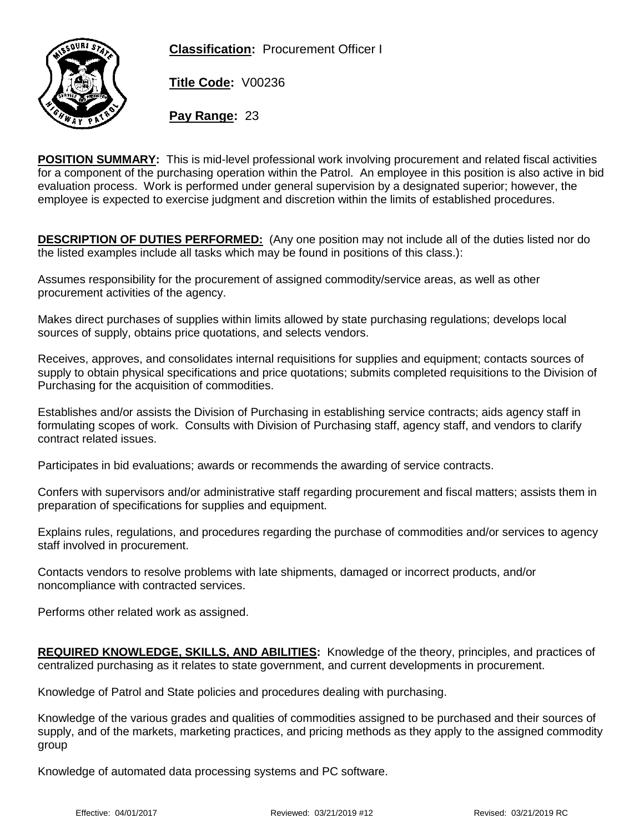**Classification:** Procurement Officer I



**Title Code:** V00236

**Pay Range:** 23

**POSITION SUMMARY:** This is mid-level professional work involving procurement and related fiscal activities for a component of the purchasing operation within the Patrol. An employee in this position is also active in bid evaluation process. Work is performed under general supervision by a designated superior; however, the employee is expected to exercise judgment and discretion within the limits of established procedures.

**DESCRIPTION OF DUTIES PERFORMED:** (Any one position may not include all of the duties listed nor do the listed examples include all tasks which may be found in positions of this class.):

Assumes responsibility for the procurement of assigned commodity/service areas, as well as other procurement activities of the agency.

Makes direct purchases of supplies within limits allowed by state purchasing regulations; develops local sources of supply, obtains price quotations, and selects vendors.

Receives, approves, and consolidates internal requisitions for supplies and equipment; contacts sources of supply to obtain physical specifications and price quotations; submits completed requisitions to the Division of Purchasing for the acquisition of commodities.

Establishes and/or assists the Division of Purchasing in establishing service contracts; aids agency staff in formulating scopes of work. Consults with Division of Purchasing staff, agency staff, and vendors to clarify contract related issues.

Participates in bid evaluations; awards or recommends the awarding of service contracts.

Confers with supervisors and/or administrative staff regarding procurement and fiscal matters; assists them in preparation of specifications for supplies and equipment.

Explains rules, regulations, and procedures regarding the purchase of commodities and/or services to agency staff involved in procurement.

Contacts vendors to resolve problems with late shipments, damaged or incorrect products, and/or noncompliance with contracted services.

Performs other related work as assigned.

**REQUIRED KNOWLEDGE, SKILLS, AND ABILITIES:** Knowledge of the theory, principles, and practices of centralized purchasing as it relates to state government, and current developments in procurement.

Knowledge of Patrol and State policies and procedures dealing with purchasing.

Knowledge of the various grades and qualities of commodities assigned to be purchased and their sources of supply, and of the markets, marketing practices, and pricing methods as they apply to the assigned commodity group

Knowledge of automated data processing systems and PC software.